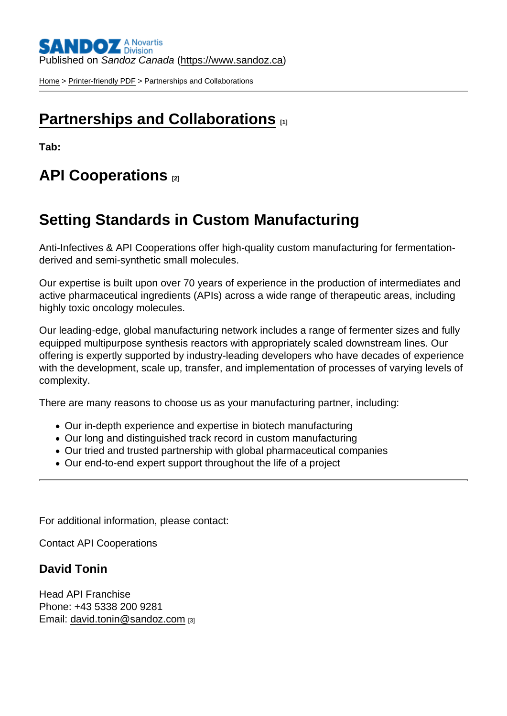Published on Sandoz Canada [\(https://www.sandoz.ca](https://www.sandoz.ca))

[Home](https://www.sandoz.ca/en) > [Printer-friendly PDF](https://www.sandoz.ca/en/printpdf) > Partnerships and Collaborations

## [Partnerships and Collaborations](https://www.sandoz.ca/en/about-us/contact-us/partnerships-and-collaborations) [1]

Tab:

### [API Cooperations](https://www.sandoz.ca/about-us/contact-us/partnerships-and-collaborations#tab-1) [2]

# Setting Standards in Custom Manufacturing

Anti-Infectives & API Cooperations offer high-quality custom manufacturing for fermentationderived and semi-synthetic small molecules.

Our expertise is built upon over 70 years of experience in the production of intermediates and active pharmaceutical ingredients (APIs) across a wide range of therapeutic areas, including highly toxic oncology molecules.

Our leading-edge, global manufacturing network includes a range of fermenter sizes and fully equipped multipurpose synthesis reactors with appropriately scaled downstream lines. Our offering is expertly supported by industry-leading developers who have decades of experience with the development, scale up, transfer, and implementation of processes of varying levels of complexity.

There are many reasons to choose us as your manufacturing partner, including:

- Our in-depth experience and expertise in biotech manufacturing
- Our long and distinguished track record in custom manufacturing
- Our tried and trusted partnership with global pharmaceutical companies
- Our end-to-end expert support throughout the life of a project

For additional information, please contact:

Contact API Cooperations

David Tonin

Head API Franchise Phone: +43 5338 200 9281 Email: [david.tonin@sandoz.com](mailto:david.tonin@sandoz.com) [3]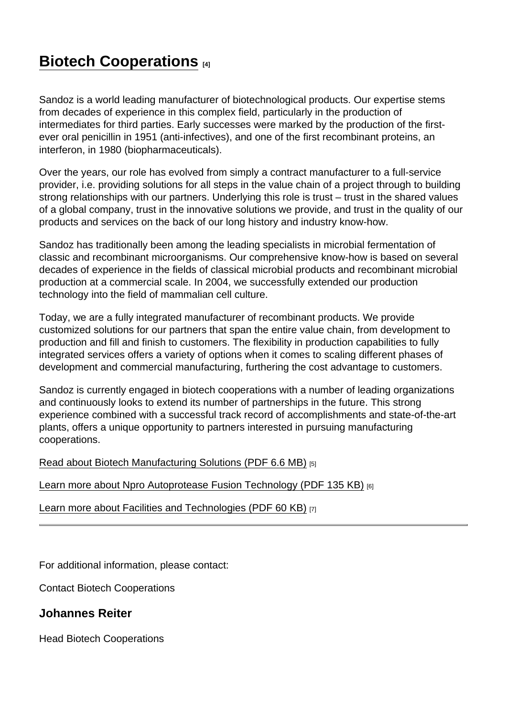# [Biotech Cooperations](https://www.sandoz.ca/about-us/contact-us/partnerships-and-collaborations#tab-2) [4]

Sandoz is a world leading manufacturer of biotechnological products. Our expertise stems from decades of experience in this complex field, particularly in the production of intermediates for third parties. Early successes were marked by the production of the firstever oral penicillin in 1951 (anti-infectives), and one of the first recombinant proteins, an interferon, in 1980 (biopharmaceuticals).

Over the years, our role has evolved from simply a contract manufacturer to a full-service provider, i.e. providing solutions for all steps in the value chain of a project through to building strong relationships with our partners. Underlying this role is trust – trust in the shared values of a global company, trust in the innovative solutions we provide, and trust in the quality of our products and services on the back of our long history and industry know-how.

Sandoz has traditionally been among the leading specialists in microbial fermentation of classic and recombinant microorganisms. Our comprehensive know-how is based on several decades of experience in the fields of classical microbial products and recombinant microbial production at a commercial scale. In 2004, we successfully extended our production technology into the field of mammalian cell culture.

Today, we are a fully integrated manufacturer of recombinant products. We provide customized solutions for our partners that span the entire value chain, from development to production and fill and finish to customers. The flexibility in production capabilities to fully integrated services offers a variety of options when it comes to scaling different phases of development and commercial manufacturing, furthering the cost advantage to customers.

Sandoz is currently engaged in biotech cooperations with a number of leading organizations and continuously looks to extend its number of partnerships in the future. This strong experience combined with a successful track record of accomplishments and state-of-the-art plants, offers a unique opportunity to partners interested in pursuing manufacturing cooperations.

[Read about Biotech Manufacturing Solutions \(PDF 6.6 MB\)](https://www.sandoz.ca/en/sites/www.sandoz.com/files/biotech-cooperations-manufacturing-solutions.pdf) [5]

[Learn more about Npro Autoprotease Fusion Technology \(PDF 135 KB\)](https://www.sandoz.ca/en/sites/www.sandoz.com/files/biotech-cooperations-Npro-autoprotease-fusion-technology.pdf) [6]

[Learn more about Facilities and Technologies \(PDF 60 KB\)](https://www.sandoz.ca/en/sites/www.sandoz.com/files/biotech-cooperations-facilities-technologies.pdf) [7]

For additional information, please contact:

Contact Biotech Cooperations

Johannes Reiter

Head Biotech Cooperations